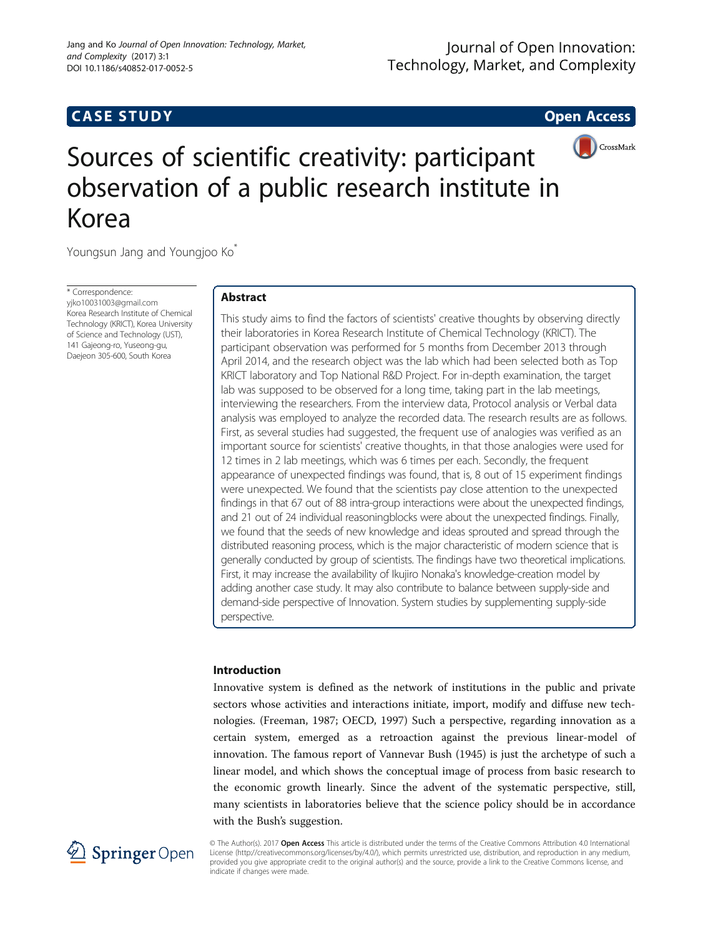# **CASE STUDY CASE STUDY Open Access**



# Sources of scientific creativity: participant observation of a public research institute in Korea

Youngsun Jang and Youngjoo Ko<sup>\*</sup>

\* Correspondence: [yjko10031003@gmail.com](mailto:yjko10031003@gmail.com) Korea Research Institute of Chemical Technology (KRICT), Korea University of Science and Technology (UST), 141 Gajeong-ro, Yuseong-gu, Daejeon 305-600, South Korea

# Abstract

This study aims to find the factors of scientists' creative thoughts by observing directly their laboratories in Korea Research Institute of Chemical Technology (KRICT). The participant observation was performed for 5 months from December 2013 through April 2014, and the research object was the lab which had been selected both as Top KRICT laboratory and Top National R&D Project. For in-depth examination, the target lab was supposed to be observed for a long time, taking part in the lab meetings, interviewing the researchers. From the interview data, Protocol analysis or Verbal data analysis was employed to analyze the recorded data. The research results are as follows. First, as several studies had suggested, the frequent use of analogies was verified as an important source for scientists' creative thoughts, in that those analogies were used for 12 times in 2 lab meetings, which was 6 times per each. Secondly, the frequent appearance of unexpected findings was found, that is, 8 out of 15 experiment findings were unexpected. We found that the scientists pay close attention to the unexpected findings in that 67 out of 88 intra-group interactions were about the unexpected findings, and 21 out of 24 individual reasoningblocks were about the unexpected findings. Finally, we found that the seeds of new knowledge and ideas sprouted and spread through the distributed reasoning process, which is the major characteristic of modern science that is generally conducted by group of scientists. The findings have two theoretical implications. First, it may increase the availability of Ikujiro Nonaka's knowledge-creation model by adding another case study. It may also contribute to balance between supply-side and demand-side perspective of Innovation. System studies by supplementing supply-side perspective.

# Introduction

Innovative system is defined as the network of institutions in the public and private sectors whose activities and interactions initiate, import, modify and diffuse new technologies. (Freeman, [1987](#page-14-0); OECD, [1997](#page-15-0)) Such a perspective, regarding innovation as a certain system, emerged as a retroaction against the previous linear-model of innovation. The famous report of Vannevar Bush [\(1945\)](#page-14-0) is just the archetype of such a linear model, and which shows the conceptual image of process from basic research to the economic growth linearly. Since the advent of the systematic perspective, still, many scientists in laboratories believe that the science policy should be in accordance with the Bush's suggestion.



© The Author(s). 2017 Open Access This article is distributed under the terms of the Creative Commons Attribution 4.0 International License [\(http://creativecommons.org/licenses/by/4.0/](http://creativecommons.org/licenses/by/4.0/)), which permits unrestricted use, distribution, and reproduction in any medium, provided you give appropriate credit to the original author(s) and the source, provide a link to the Creative Commons license, and indicate if changes were made.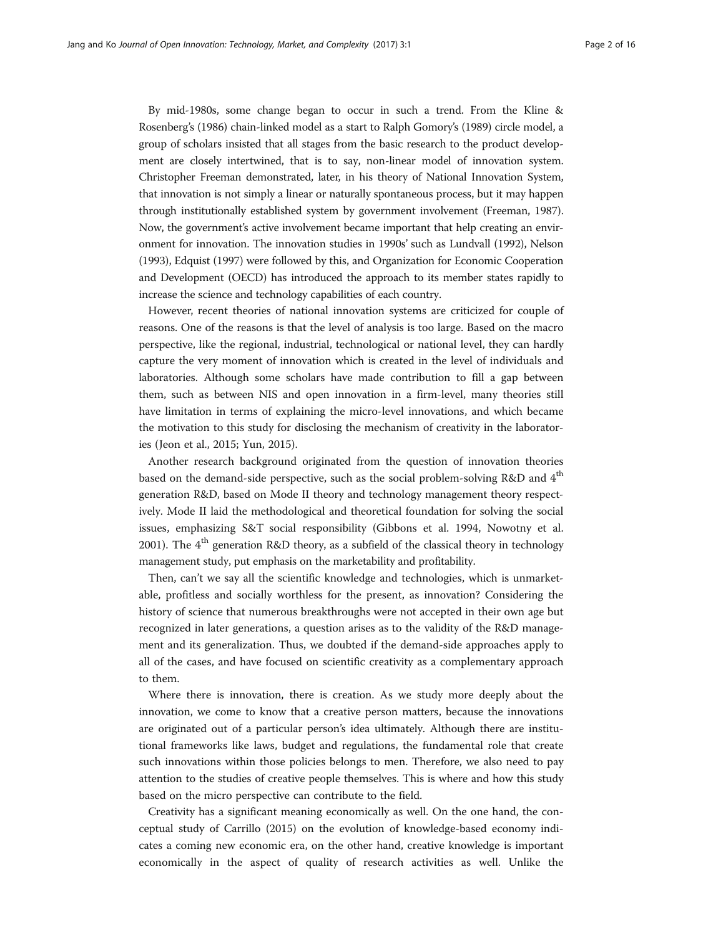By mid-1980s, some change began to occur in such a trend. From the Kline & Rosenberg's [\(1986\)](#page-15-0) chain-linked model as a start to Ralph Gomory's [\(1989\)](#page-14-0) circle model, a group of scholars insisted that all stages from the basic research to the product development are closely intertwined, that is to say, non-linear model of innovation system. Christopher Freeman demonstrated, later, in his theory of National Innovation System, that innovation is not simply a linear or naturally spontaneous process, but it may happen through institutionally established system by government involvement (Freeman, [1987](#page-14-0)). Now, the government's active involvement became important that help creating an environment for innovation. The innovation studies in 1990s' such as Lundvall ([1992](#page-15-0)), Nelson ([1993\)](#page-15-0), Edquist ([1997](#page-14-0)) were followed by this, and Organization for Economic Cooperation and Development (OECD) has introduced the approach to its member states rapidly to increase the science and technology capabilities of each country.

However, recent theories of national innovation systems are criticized for couple of reasons. One of the reasons is that the level of analysis is too large. Based on the macro perspective, like the regional, industrial, technological or national level, they can hardly capture the very moment of innovation which is created in the level of individuals and laboratories. Although some scholars have made contribution to fill a gap between them, such as between NIS and open innovation in a firm-level, many theories still have limitation in terms of explaining the micro-level innovations, and which became the motivation to this study for disclosing the mechanism of creativity in the laboratories (Jeon et al., [2015](#page-14-0); Yun, [2015\)](#page-15-0).

Another research background originated from the question of innovation theories based on the demand-side perspective, such as the social problem-solving R&D and  $4<sup>th</sup>$ generation R&D, based on Mode II theory and technology management theory respectively. Mode II laid the methodological and theoretical foundation for solving the social issues, emphasizing S&T social responsibility (Gibbons et al. [1994](#page-14-0), Nowotny et al. [2001](#page-15-0)). The  $4<sup>th</sup>$  generation R&D theory, as a subfield of the classical theory in technology management study, put emphasis on the marketability and profitability.

Then, can't we say all the scientific knowledge and technologies, which is unmarketable, profitless and socially worthless for the present, as innovation? Considering the history of science that numerous breakthroughs were not accepted in their own age but recognized in later generations, a question arises as to the validity of the R&D management and its generalization. Thus, we doubted if the demand-side approaches apply to all of the cases, and have focused on scientific creativity as a complementary approach to them.

Where there is innovation, there is creation. As we study more deeply about the innovation, we come to know that a creative person matters, because the innovations are originated out of a particular person's idea ultimately. Although there are institutional frameworks like laws, budget and regulations, the fundamental role that create such innovations within those policies belongs to men. Therefore, we also need to pay attention to the studies of creative people themselves. This is where and how this study based on the micro perspective can contribute to the field.

Creativity has a significant meaning economically as well. On the one hand, the conceptual study of Carrillo ([2015](#page-14-0)) on the evolution of knowledge-based economy indicates a coming new economic era, on the other hand, creative knowledge is important economically in the aspect of quality of research activities as well. Unlike the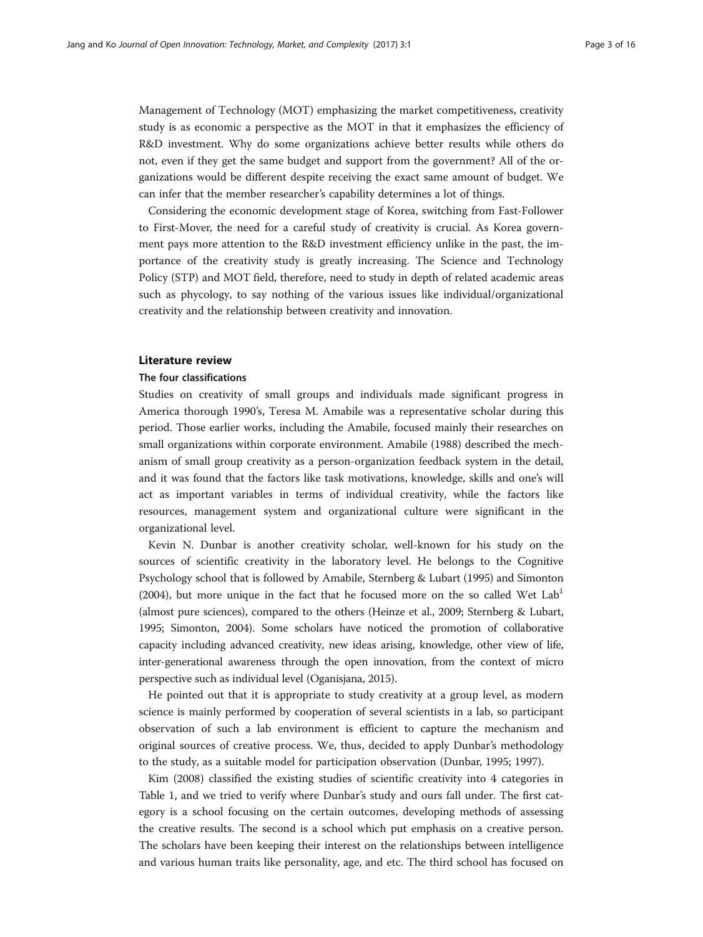Management of Technology (MOT) emphasizing the market competitiveness, creativity study is as economic a perspective as the MOT in that it emphasizes the efficiency of R&D investment. Why do some organizations achieve better results while others do not, even if they get the same budget and support from the government? All of the organizations would be different despite receiving the exact same amount of budget. We can infer that the member researcher's capability determines a lot of things.

Considering the economic development stage of Korea, switching from Fast-Follower to First-Mover, the need for a careful study of creativity is crucial. As Korea government pays more attention to the R&D investment efficiency unlike in the past, the importance of the creativity study is greatly increasing. The Science and Technology Policy (STP) and MOT field, therefore, need to study in depth of related academic areas such as phycology, to say nothing of the various issues like individual/organizational creativity and the relationship between creativity and innovation.

#### Literature review

#### The four classifications

Studies on creativity of small groups and individuals made significant progress in America thorough 1990's, Teresa M. Amabile was a representative scholar during this period. Those earlier works, including the Amabile, focused mainly their researches on small organizations within corporate environment. Amabile [\(1988\)](#page-14-0) described the mechanism of small group creativity as a person-organization feedback system in the detail, and it was found that the factors like task motivations, knowledge, skills and one's will act as important variables in terms of individual creativity, while the factors like resources, management system and organizational culture were significant in the organizational level.

Kevin N. Dunbar is another creativity scholar, well-known for his study on the sources of scientific creativity in the laboratory level. He belongs to the Cognitive Psychology school that is followed by Amabile, Sternberg & Lubart ([1995](#page-15-0)) and Simonton  $(2004)$  $(2004)$ , but more unique in the fact that he focused more on the so called Wet Lab<sup>1</sup> (almost pure sciences), compared to the others (Heinze et al., [2009;](#page-14-0) Sternberg & Lubart, [1995;](#page-15-0) Simonton, [2004\)](#page-15-0). Some scholars have noticed the promotion of collaborative capacity including advanced creativity, new ideas arising, knowledge, other view of life, inter-generational awareness through the open innovation, from the context of micro perspective such as individual level (Oganisjana, [2015](#page-15-0)).

He pointed out that it is appropriate to study creativity at a group level, as modern science is mainly performed by cooperation of several scientists in a lab, so participant observation of such a lab environment is efficient to capture the mechanism and original sources of creative process. We, thus, decided to apply Dunbar's methodology to the study, as a suitable model for participation observation (Dunbar, [1995](#page-14-0); [1997\)](#page-14-0).

Kim [\(2008\)](#page-15-0) classified the existing studies of scientific creativity into 4 categories in Table [1,](#page-3-0) and we tried to verify where Dunbar's study and ours fall under. The first category is a school focusing on the certain outcomes, developing methods of assessing the creative results. The second is a school which put emphasis on a creative person. The scholars have been keeping their interest on the relationships between intelligence and various human traits like personality, age, and etc. The third school has focused on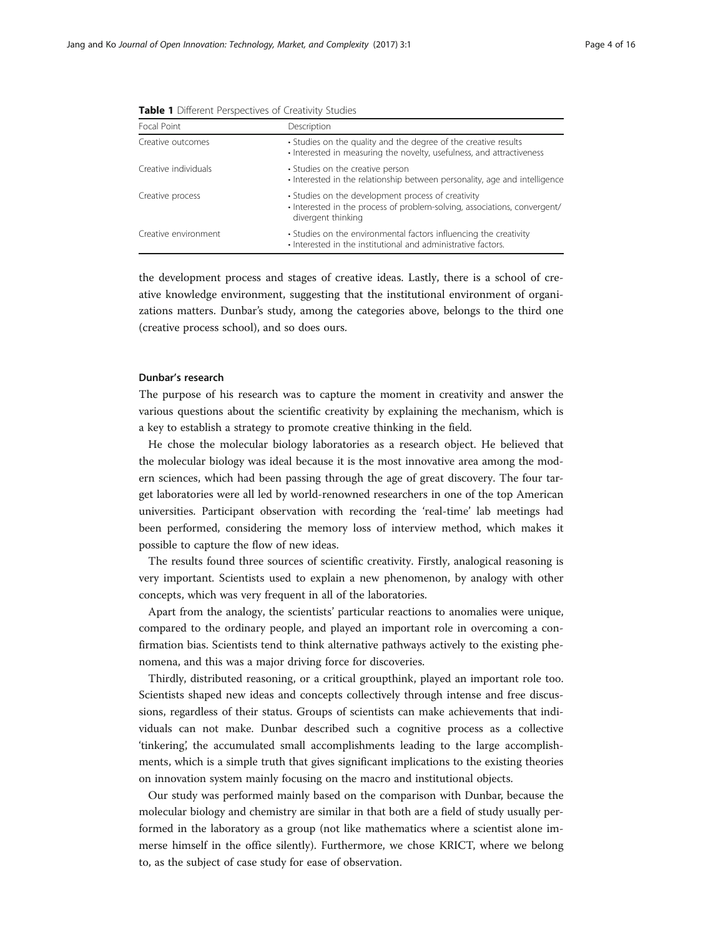| Focal Point          | Description                                                                                                                                           |
|----------------------|-------------------------------------------------------------------------------------------------------------------------------------------------------|
| Creative outcomes    | • Studies on the quality and the degree of the creative results<br>• Interested in measuring the novelty, usefulness, and attractiveness              |
| Creative individuals | • Studies on the creative person<br>• Interested in the relationship between personality, age and intelligence                                        |
| Creative process     | • Studies on the development process of creativity<br>• Interested in the process of problem-solving, associations, convergent/<br>divergent thinking |
| Creative environment | • Studies on the environmental factors influencing the creativity<br>• Interested in the institutional and administrative factors.                    |

<span id="page-3-0"></span>Table 1 Different Perspectives of Creativity Studies

the development process and stages of creative ideas. Lastly, there is a school of creative knowledge environment, suggesting that the institutional environment of organizations matters. Dunbar's study, among the categories above, belongs to the third one (creative process school), and so does ours.

### Dunbar's research

The purpose of his research was to capture the moment in creativity and answer the various questions about the scientific creativity by explaining the mechanism, which is a key to establish a strategy to promote creative thinking in the field.

He chose the molecular biology laboratories as a research object. He believed that the molecular biology was ideal because it is the most innovative area among the modern sciences, which had been passing through the age of great discovery. The four target laboratories were all led by world-renowned researchers in one of the top American universities. Participant observation with recording the 'real-time' lab meetings had been performed, considering the memory loss of interview method, which makes it possible to capture the flow of new ideas.

The results found three sources of scientific creativity. Firstly, analogical reasoning is very important. Scientists used to explain a new phenomenon, by analogy with other concepts, which was very frequent in all of the laboratories.

Apart from the analogy, the scientists' particular reactions to anomalies were unique, compared to the ordinary people, and played an important role in overcoming a confirmation bias. Scientists tend to think alternative pathways actively to the existing phenomena, and this was a major driving force for discoveries.

Thirdly, distributed reasoning, or a critical groupthink, played an important role too. Scientists shaped new ideas and concepts collectively through intense and free discussions, regardless of their status. Groups of scientists can make achievements that individuals can not make. Dunbar described such a cognitive process as a collective 'tinkering', the accumulated small accomplishments leading to the large accomplishments, which is a simple truth that gives significant implications to the existing theories on innovation system mainly focusing on the macro and institutional objects.

Our study was performed mainly based on the comparison with Dunbar, because the molecular biology and chemistry are similar in that both are a field of study usually performed in the laboratory as a group (not like mathematics where a scientist alone immerse himself in the office silently). Furthermore, we chose KRICT, where we belong to, as the subject of case study for ease of observation.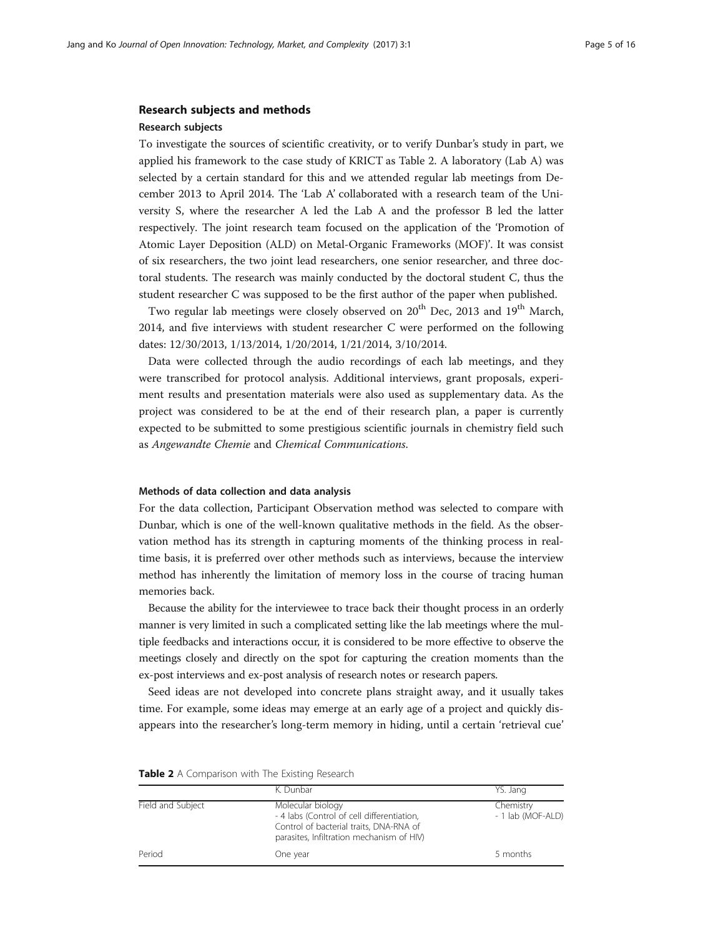#### Research subjects and methods

#### Research subjects

To investigate the sources of scientific creativity, or to verify Dunbar's study in part, we applied his framework to the case study of KRICT as Table 2. A laboratory (Lab A) was selected by a certain standard for this and we attended regular lab meetings from December 2013 to April 2014. The 'Lab A' collaborated with a research team of the University S, where the researcher A led the Lab A and the professor B led the latter respectively. The joint research team focused on the application of the 'Promotion of Atomic Layer Deposition (ALD) on Metal-Organic Frameworks (MOF)'. It was consist of six researchers, the two joint lead researchers, one senior researcher, and three doctoral students. The research was mainly conducted by the doctoral student C, thus the student researcher C was supposed to be the first author of the paper when published.

Two regular lab meetings were closely observed on 20<sup>th</sup> Dec, 2013 and 19<sup>th</sup> March, 2014, and five interviews with student researcher C were performed on the following dates: 12/30/2013, 1/13/2014, 1/20/2014, 1/21/2014, 3/10/2014.

Data were collected through the audio recordings of each lab meetings, and they were transcribed for protocol analysis. Additional interviews, grant proposals, experiment results and presentation materials were also used as supplementary data. As the project was considered to be at the end of their research plan, a paper is currently expected to be submitted to some prestigious scientific journals in chemistry field such as Angewandte Chemie and Chemical Communications.

### Methods of data collection and data analysis

For the data collection, Participant Observation method was selected to compare with Dunbar, which is one of the well-known qualitative methods in the field. As the observation method has its strength in capturing moments of the thinking process in realtime basis, it is preferred over other methods such as interviews, because the interview method has inherently the limitation of memory loss in the course of tracing human memories back.

Because the ability for the interviewee to trace back their thought process in an orderly manner is very limited in such a complicated setting like the lab meetings where the multiple feedbacks and interactions occur, it is considered to be more effective to observe the meetings closely and directly on the spot for capturing the creation moments than the ex-post interviews and ex-post analysis of research notes or research papers.

Seed ideas are not developed into concrete plans straight away, and it usually takes time. For example, some ideas may emerge at an early age of a project and quickly disappears into the researcher's long-term memory in hiding, until a certain 'retrieval cue'

|                   | K. Dunbar                                                                                                                                               | YS. Jang                       |
|-------------------|---------------------------------------------------------------------------------------------------------------------------------------------------------|--------------------------------|
| Field and Subject | Molecular biology<br>- 4 labs (Control of cell differentiation,<br>Control of bacterial traits, DNA-RNA of<br>parasites, Infiltration mechanism of HIV) | Chemistry<br>- 1 lab (MOF-ALD) |
| Period            | One year                                                                                                                                                | 5 months                       |

#### Table 2 A Comparison with The Existing Research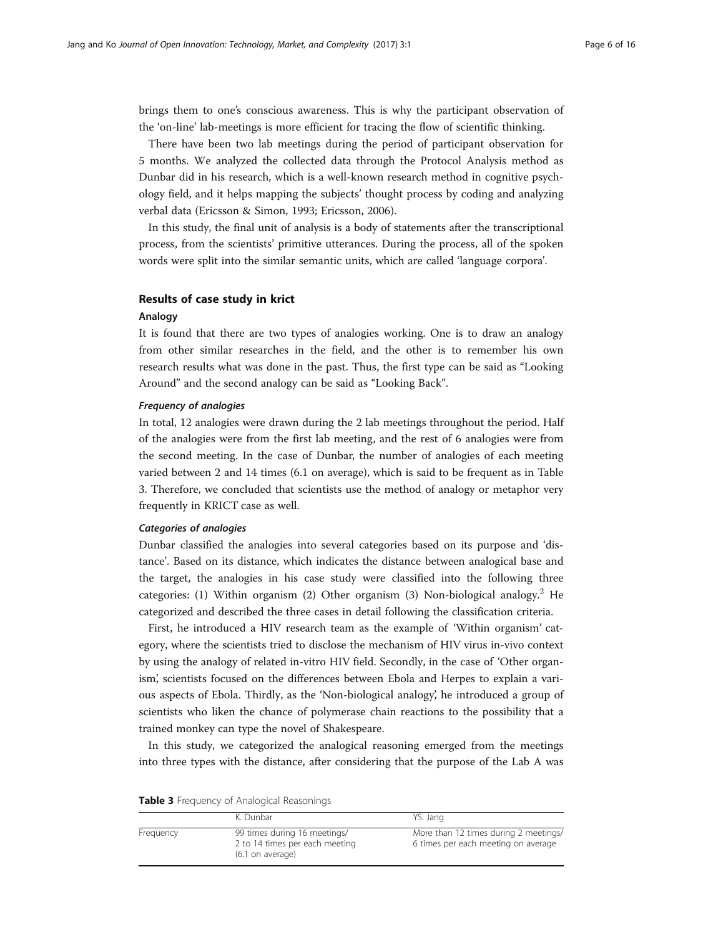brings them to one's conscious awareness. This is why the participant observation of the 'on-line' lab-meetings is more efficient for tracing the flow of scientific thinking.

There have been two lab meetings during the period of participant observation for 5 months. We analyzed the collected data through the Protocol Analysis method as Dunbar did in his research, which is a well-known research method in cognitive psychology field, and it helps mapping the subjects' thought process by coding and analyzing verbal data (Ericsson & Simon, [1993;](#page-14-0) Ericsson, [2006\)](#page-14-0).

In this study, the final unit of analysis is a body of statements after the transcriptional process, from the scientists' primitive utterances. During the process, all of the spoken words were split into the similar semantic units, which are called 'language corpora'.

#### Results of case study in krict

#### Analogy

It is found that there are two types of analogies working. One is to draw an analogy from other similar researches in the field, and the other is to remember his own research results what was done in the past. Thus, the first type can be said as "Looking Around" and the second analogy can be said as "Looking Back".

#### Frequency of analogies

In total, 12 analogies were drawn during the 2 lab meetings throughout the period. Half of the analogies were from the first lab meeting, and the rest of 6 analogies were from the second meeting. In the case of Dunbar, the number of analogies of each meeting varied between 2 and 14 times (6.1 on average), which is said to be frequent as in Table 3. Therefore, we concluded that scientists use the method of analogy or metaphor very frequently in KRICT case as well.

#### Categories of analogies

Dunbar classified the analogies into several categories based on its purpose and 'distance'. Based on its distance, which indicates the distance between analogical base and the target, the analogies in his case study were classified into the following three categories: (1) Within organism (2) Other organism (3) Non-biological analogy.<sup>2</sup> He categorized and described the three cases in detail following the classification criteria.

First, he introduced a HIV research team as the example of 'Within organism' category, where the scientists tried to disclose the mechanism of HIV virus in-vivo context by using the analogy of related in-vitro HIV field. Secondly, in the case of 'Other organism', scientists focused on the differences between Ebola and Herpes to explain a various aspects of Ebola. Thirdly, as the 'Non-biological analogy', he introduced a group of scientists who liken the chance of polymerase chain reactions to the possibility that a trained monkey can type the novel of Shakespeare.

In this study, we categorized the analogical reasoning emerged from the meetings into three types with the distance, after considering that the purpose of the Lab A was

|           | K. Dunbar                                                                          | YS. Jang                                                                     |
|-----------|------------------------------------------------------------------------------------|------------------------------------------------------------------------------|
| Frequency | 99 times during 16 meetings/<br>2 to 14 times per each meeting<br>(6.1 on average) | More than 12 times during 2 meetings/<br>6 times per each meeting on average |

|  |  | Table 3 Frequency of Analogical Reasonings |  |
|--|--|--------------------------------------------|--|
|--|--|--------------------------------------------|--|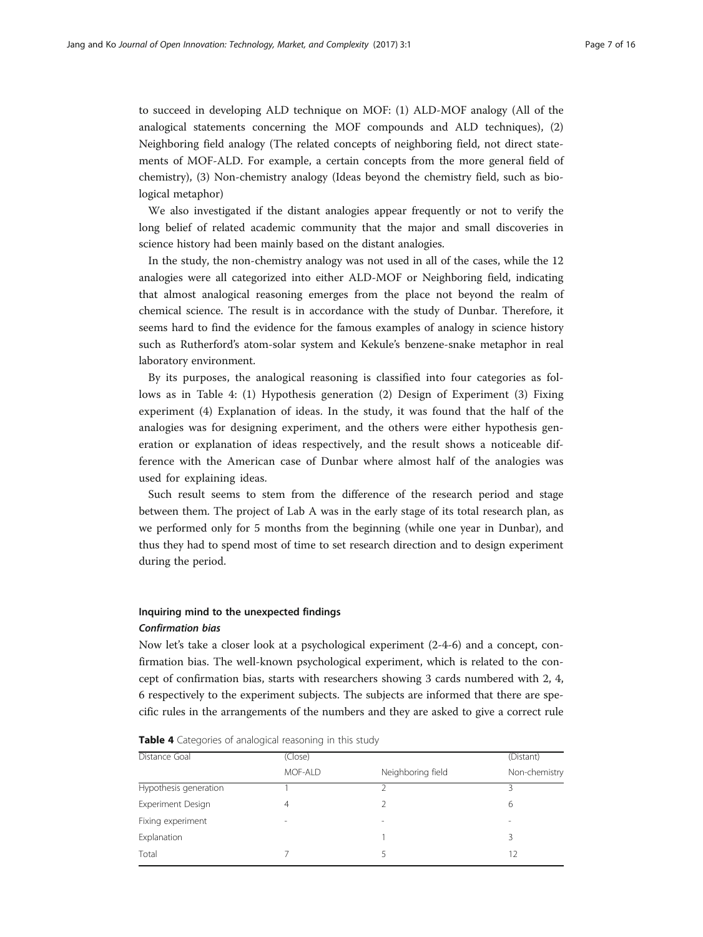to succeed in developing ALD technique on MOF: (1) ALD-MOF analogy (All of the analogical statements concerning the MOF compounds and ALD techniques), (2) Neighboring field analogy (The related concepts of neighboring field, not direct statements of MOF-ALD. For example, a certain concepts from the more general field of chemistry), (3) Non-chemistry analogy (Ideas beyond the chemistry field, such as biological metaphor)

We also investigated if the distant analogies appear frequently or not to verify the long belief of related academic community that the major and small discoveries in science history had been mainly based on the distant analogies.

In the study, the non-chemistry analogy was not used in all of the cases, while the 12 analogies were all categorized into either ALD-MOF or Neighboring field, indicating that almost analogical reasoning emerges from the place not beyond the realm of chemical science. The result is in accordance with the study of Dunbar. Therefore, it seems hard to find the evidence for the famous examples of analogy in science history such as Rutherford's atom-solar system and Kekule's benzene-snake metaphor in real laboratory environment.

By its purposes, the analogical reasoning is classified into four categories as follows as in Table 4: (1) Hypothesis generation (2) Design of Experiment (3) Fixing experiment (4) Explanation of ideas. In the study, it was found that the half of the analogies was for designing experiment, and the others were either hypothesis generation or explanation of ideas respectively, and the result shows a noticeable difference with the American case of Dunbar where almost half of the analogies was used for explaining ideas.

Such result seems to stem from the difference of the research period and stage between them. The project of Lab A was in the early stage of its total research plan, as we performed only for 5 months from the beginning (while one year in Dunbar), and thus they had to spend most of time to set research direction and to design experiment during the period.

## Inquiring mind to the unexpected findings Confirmation bias

Now let's take a closer look at a psychological experiment (2-4-6) and a concept, confirmation bias. The well-known psychological experiment, which is related to the concept of confirmation bias, starts with researchers showing 3 cards numbered with 2, 4, 6 respectively to the experiment subjects. The subjects are informed that there are specific rules in the arrangements of the numbers and they are asked to give a correct rule

| Distance Goal         | (Close) |                   |               |
|-----------------------|---------|-------------------|---------------|
|                       | MOF-ALD | Neighboring field | Non-chemistry |
| Hypothesis generation |         |                   |               |
| Experiment Design     | 4       |                   | h             |
| Fixing experiment     |         |                   |               |
| Explanation           |         |                   | ς             |
| Total                 |         |                   | 12            |

| Table 4 Categories of analogical reasoning in this study |  |  |  |
|----------------------------------------------------------|--|--|--|
|----------------------------------------------------------|--|--|--|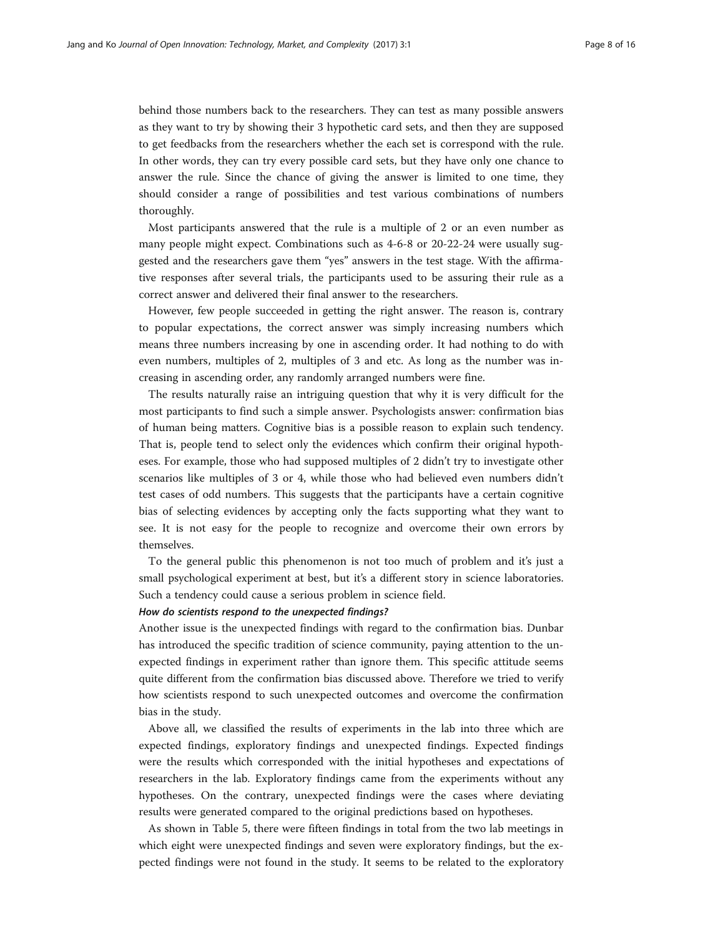behind those numbers back to the researchers. They can test as many possible answers as they want to try by showing their 3 hypothetic card sets, and then they are supposed to get feedbacks from the researchers whether the each set is correspond with the rule. In other words, they can try every possible card sets, but they have only one chance to answer the rule. Since the chance of giving the answer is limited to one time, they should consider a range of possibilities and test various combinations of numbers thoroughly.

Most participants answered that the rule is a multiple of 2 or an even number as many people might expect. Combinations such as 4-6-8 or 20-22-24 were usually suggested and the researchers gave them "yes" answers in the test stage. With the affirmative responses after several trials, the participants used to be assuring their rule as a correct answer and delivered their final answer to the researchers.

However, few people succeeded in getting the right answer. The reason is, contrary to popular expectations, the correct answer was simply increasing numbers which means three numbers increasing by one in ascending order. It had nothing to do with even numbers, multiples of 2, multiples of 3 and etc. As long as the number was increasing in ascending order, any randomly arranged numbers were fine.

The results naturally raise an intriguing question that why it is very difficult for the most participants to find such a simple answer. Psychologists answer: confirmation bias of human being matters. Cognitive bias is a possible reason to explain such tendency. That is, people tend to select only the evidences which confirm their original hypotheses. For example, those who had supposed multiples of 2 didn't try to investigate other scenarios like multiples of 3 or 4, while those who had believed even numbers didn't test cases of odd numbers. This suggests that the participants have a certain cognitive bias of selecting evidences by accepting only the facts supporting what they want to see. It is not easy for the people to recognize and overcome their own errors by themselves.

To the general public this phenomenon is not too much of problem and it's just a small psychological experiment at best, but it's a different story in science laboratories. Such a tendency could cause a serious problem in science field.

#### How do scientists respond to the unexpected findings?

Another issue is the unexpected findings with regard to the confirmation bias. Dunbar has introduced the specific tradition of science community, paying attention to the unexpected findings in experiment rather than ignore them. This specific attitude seems quite different from the confirmation bias discussed above. Therefore we tried to verify how scientists respond to such unexpected outcomes and overcome the confirmation bias in the study.

Above all, we classified the results of experiments in the lab into three which are expected findings, exploratory findings and unexpected findings. Expected findings were the results which corresponded with the initial hypotheses and expectations of researchers in the lab. Exploratory findings came from the experiments without any hypotheses. On the contrary, unexpected findings were the cases where deviating results were generated compared to the original predictions based on hypotheses.

As shown in Table [5,](#page-8-0) there were fifteen findings in total from the two lab meetings in which eight were unexpected findings and seven were exploratory findings, but the expected findings were not found in the study. It seems to be related to the exploratory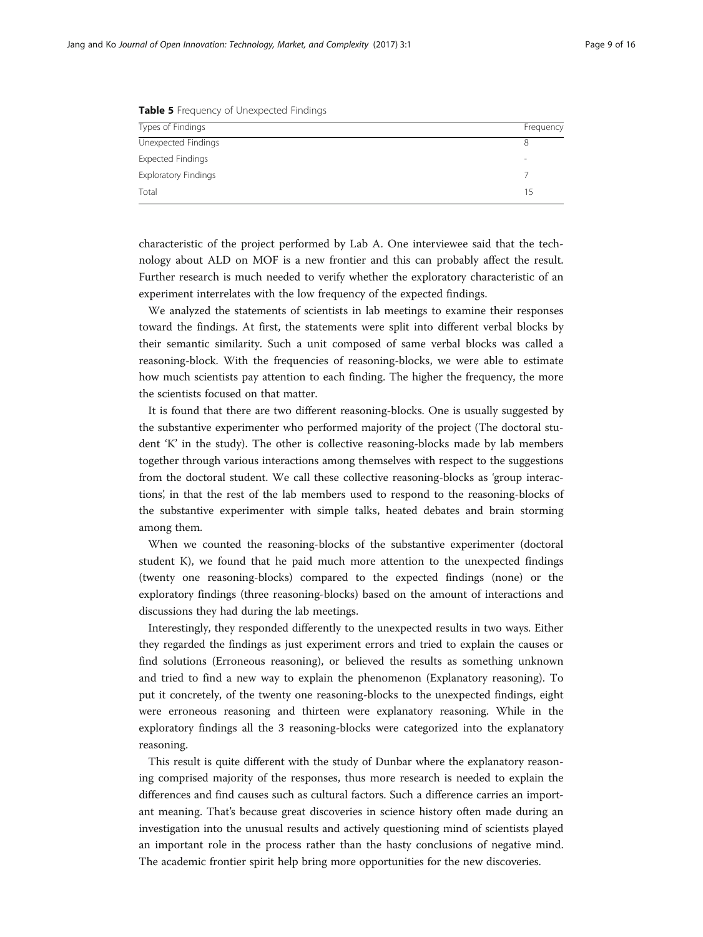| <b>Fable 3</b> Lieguericy of Orleapected Finalitys |                          |
|----------------------------------------------------|--------------------------|
| Types of Findings                                  | Frequency                |
| Unexpected Findings                                |                          |
| <b>Expected Findings</b>                           | $\overline{\phantom{a}}$ |
| <b>Exploratory Findings</b>                        |                          |
| Total                                              | 15                       |
|                                                    |                          |

<span id="page-8-0"></span>Table 5 Frequency of Unexpected Findings

characteristic of the project performed by Lab A. One interviewee said that the technology about ALD on MOF is a new frontier and this can probably affect the result. Further research is much needed to verify whether the exploratory characteristic of an experiment interrelates with the low frequency of the expected findings.

We analyzed the statements of scientists in lab meetings to examine their responses toward the findings. At first, the statements were split into different verbal blocks by their semantic similarity. Such a unit composed of same verbal blocks was called a reasoning-block. With the frequencies of reasoning-blocks, we were able to estimate how much scientists pay attention to each finding. The higher the frequency, the more the scientists focused on that matter.

It is found that there are two different reasoning-blocks. One is usually suggested by the substantive experimenter who performed majority of the project (The doctoral student 'K' in the study). The other is collective reasoning-blocks made by lab members together through various interactions among themselves with respect to the suggestions from the doctoral student. We call these collective reasoning-blocks as 'group interactions', in that the rest of the lab members used to respond to the reasoning-blocks of the substantive experimenter with simple talks, heated debates and brain storming among them.

When we counted the reasoning-blocks of the substantive experimenter (doctoral student K), we found that he paid much more attention to the unexpected findings (twenty one reasoning-blocks) compared to the expected findings (none) or the exploratory findings (three reasoning-blocks) based on the amount of interactions and discussions they had during the lab meetings.

Interestingly, they responded differently to the unexpected results in two ways. Either they regarded the findings as just experiment errors and tried to explain the causes or find solutions (Erroneous reasoning), or believed the results as something unknown and tried to find a new way to explain the phenomenon (Explanatory reasoning). To put it concretely, of the twenty one reasoning-blocks to the unexpected findings, eight were erroneous reasoning and thirteen were explanatory reasoning. While in the exploratory findings all the 3 reasoning-blocks were categorized into the explanatory reasoning.

This result is quite different with the study of Dunbar where the explanatory reasoning comprised majority of the responses, thus more research is needed to explain the differences and find causes such as cultural factors. Such a difference carries an important meaning. That's because great discoveries in science history often made during an investigation into the unusual results and actively questioning mind of scientists played an important role in the process rather than the hasty conclusions of negative mind. The academic frontier spirit help bring more opportunities for the new discoveries.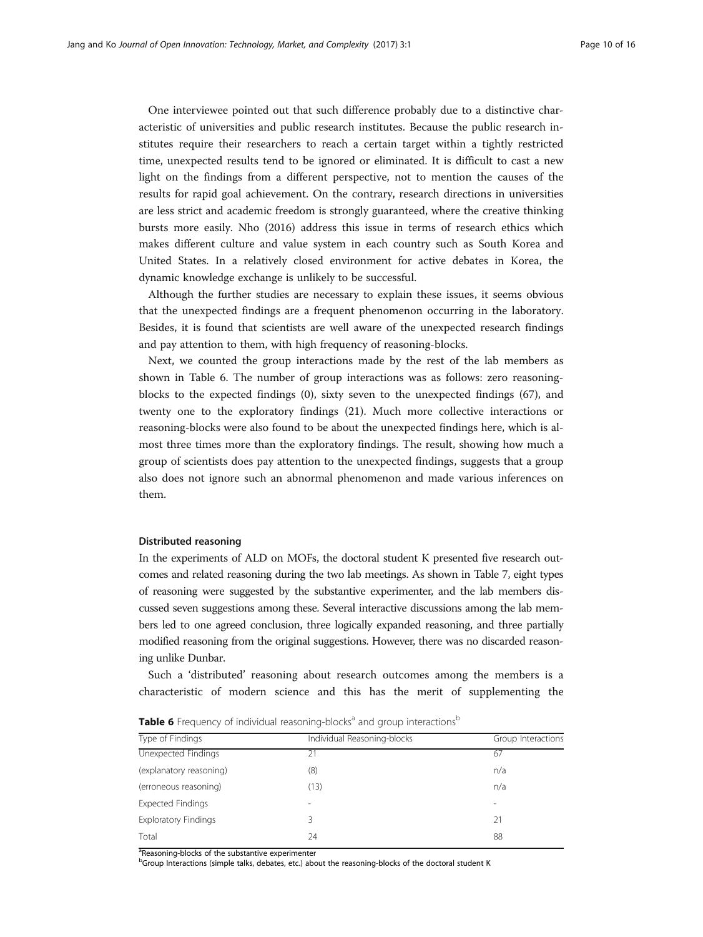One interviewee pointed out that such difference probably due to a distinctive characteristic of universities and public research institutes. Because the public research institutes require their researchers to reach a certain target within a tightly restricted time, unexpected results tend to be ignored or eliminated. It is difficult to cast a new light on the findings from a different perspective, not to mention the causes of the results for rapid goal achievement. On the contrary, research directions in universities are less strict and academic freedom is strongly guaranteed, where the creative thinking bursts more easily. Nho ([2016](#page-15-0)) address this issue in terms of research ethics which makes different culture and value system in each country such as South Korea and United States. In a relatively closed environment for active debates in Korea, the dynamic knowledge exchange is unlikely to be successful.

Although the further studies are necessary to explain these issues, it seems obvious that the unexpected findings are a frequent phenomenon occurring in the laboratory. Besides, it is found that scientists are well aware of the unexpected research findings and pay attention to them, with high frequency of reasoning-blocks.

Next, we counted the group interactions made by the rest of the lab members as shown in Table 6. The number of group interactions was as follows: zero reasoningblocks to the expected findings (0), sixty seven to the unexpected findings (67), and twenty one to the exploratory findings (21). Much more collective interactions or reasoning-blocks were also found to be about the unexpected findings here, which is almost three times more than the exploratory findings. The result, showing how much a group of scientists does pay attention to the unexpected findings, suggests that a group also does not ignore such an abnormal phenomenon and made various inferences on them.

#### Distributed reasoning

In the experiments of ALD on MOFs, the doctoral student K presented five research outcomes and related reasoning during the two lab meetings. As shown in Table [7](#page-10-0), eight types of reasoning were suggested by the substantive experimenter, and the lab members discussed seven suggestions among these. Several interactive discussions among the lab members led to one agreed conclusion, three logically expanded reasoning, and three partially modified reasoning from the original suggestions. However, there was no discarded reasoning unlike Dunbar.

Such a 'distributed' reasoning about research outcomes among the members is a characteristic of modern science and this has the merit of supplementing the

| Type of Findings            | Individual Reasoning-blocks | Group Interactions |
|-----------------------------|-----------------------------|--------------------|
| Unexpected Findings         | 21                          | 67                 |
| (explanatory reasoning)     | (8)                         | n/a                |
| (erroneous reasoning)       | (13)                        | n/a                |
| <b>Expected Findings</b>    | $\overline{\phantom{a}}$    |                    |
| <b>Exploratory Findings</b> | 3                           | 2 <sup>1</sup>     |
| Total                       | 24                          | 88                 |

**Table 6** Frequency of individual reasoning-blocks<sup>a</sup> and group interactions<sup>b</sup>

<sup>a</sup>Reasoning-blocks of the substantive experimenter

<sup>b</sup>Group Interactions (simple talks, debates, etc.) about the reasoning-blocks of the doctoral student K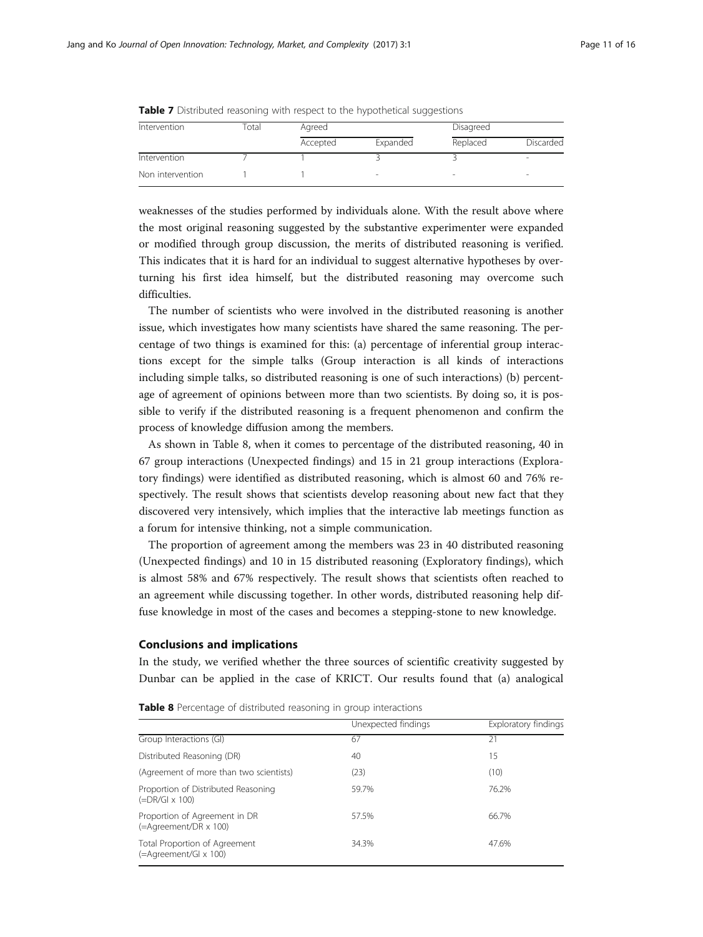| Intervention     | <b>Total</b> | Agreed   |          | Disagreed                |           |
|------------------|--------------|----------|----------|--------------------------|-----------|
|                  |              | Accepted | Expanded | Replaced                 | Discarded |
| Intervention     |              |          |          |                          |           |
| Non intervention |              |          |          | $\overline{\phantom{a}}$ |           |

<span id="page-10-0"></span>Table 7 Distributed reasoning with respect to the hypothetical suggestions

weaknesses of the studies performed by individuals alone. With the result above where the most original reasoning suggested by the substantive experimenter were expanded or modified through group discussion, the merits of distributed reasoning is verified. This indicates that it is hard for an individual to suggest alternative hypotheses by overturning his first idea himself, but the distributed reasoning may overcome such difficulties.

The number of scientists who were involved in the distributed reasoning is another issue, which investigates how many scientists have shared the same reasoning. The percentage of two things is examined for this: (a) percentage of inferential group interactions except for the simple talks (Group interaction is all kinds of interactions including simple talks, so distributed reasoning is one of such interactions) (b) percentage of agreement of opinions between more than two scientists. By doing so, it is possible to verify if the distributed reasoning is a frequent phenomenon and confirm the process of knowledge diffusion among the members.

As shown in Table 8, when it comes to percentage of the distributed reasoning, 40 in 67 group interactions (Unexpected findings) and 15 in 21 group interactions (Exploratory findings) were identified as distributed reasoning, which is almost 60 and 76% respectively. The result shows that scientists develop reasoning about new fact that they discovered very intensively, which implies that the interactive lab meetings function as a forum for intensive thinking, not a simple communication.

The proportion of agreement among the members was 23 in 40 distributed reasoning (Unexpected findings) and 10 in 15 distributed reasoning (Exploratory findings), which is almost 58% and 67% respectively. The result shows that scientists often reached to an agreement while discussing together. In other words, distributed reasoning help diffuse knowledge in most of the cases and becomes a stepping-stone to new knowledge.

#### Conclusions and implications

In the study, we verified whether the three sources of scientific creativity suggested by Dunbar can be applied in the case of KRICT. Our results found that (a) analogical

|                                                                               | Unexpected findings | Exploratory findings |
|-------------------------------------------------------------------------------|---------------------|----------------------|
| Group Interactions (GI)                                                       | 67                  | 21                   |
| Distributed Reasoning (DR)                                                    | 40                  | 15                   |
| (Agreement of more than two scientists)                                       | (23)                | (10)                 |
| Proportion of Distributed Reasoning<br>$(=\text{DR/G} \times 100)$            | 59.7%               | 76.2%                |
| Proportion of Agreement in DR<br>$(=\text{Agreement} / \text{DR} \times 100)$ | 57.5%               | 66.7%                |
| Total Proportion of Agreement<br>(=Agreement/Gl x 100)                        | 34.3%               | 47.6%                |

Table 8 Percentage of distributed reasoning in group interactions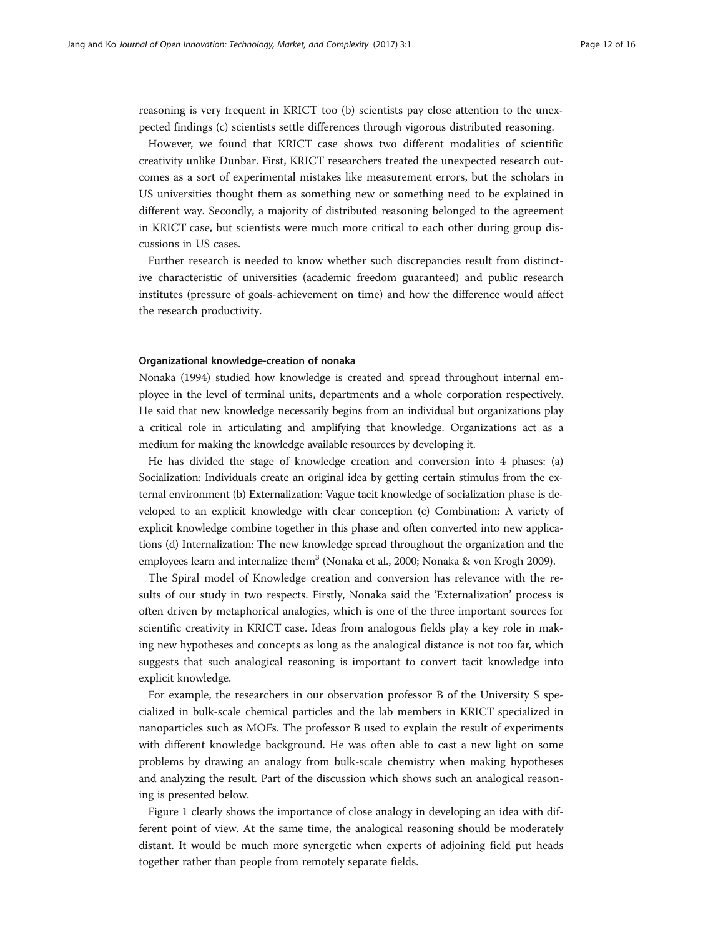reasoning is very frequent in KRICT too (b) scientists pay close attention to the unexpected findings (c) scientists settle differences through vigorous distributed reasoning.

However, we found that KRICT case shows two different modalities of scientific creativity unlike Dunbar. First, KRICT researchers treated the unexpected research outcomes as a sort of experimental mistakes like measurement errors, but the scholars in US universities thought them as something new or something need to be explained in different way. Secondly, a majority of distributed reasoning belonged to the agreement in KRICT case, but scientists were much more critical to each other during group discussions in US cases.

Further research is needed to know whether such discrepancies result from distinctive characteristic of universities (academic freedom guaranteed) and public research institutes (pressure of goals-achievement on time) and how the difference would affect the research productivity.

#### Organizational knowledge-creation of nonaka

Nonaka [\(1994](#page-15-0)) studied how knowledge is created and spread throughout internal employee in the level of terminal units, departments and a whole corporation respectively. He said that new knowledge necessarily begins from an individual but organizations play a critical role in articulating and amplifying that knowledge. Organizations act as a medium for making the knowledge available resources by developing it.

He has divided the stage of knowledge creation and conversion into 4 phases: (a) Socialization: Individuals create an original idea by getting certain stimulus from the external environment (b) Externalization: Vague tacit knowledge of socialization phase is developed to an explicit knowledge with clear conception (c) Combination: A variety of explicit knowledge combine together in this phase and often converted into new applications (d) Internalization: The new knowledge spread throughout the organization and the employees learn and internalize them<sup>3</sup> (Nonaka et al., [2000](#page-15-0); Nonaka & von Krogh [2009\)](#page-15-0).

The Spiral model of Knowledge creation and conversion has relevance with the results of our study in two respects. Firstly, Nonaka said the 'Externalization' process is often driven by metaphorical analogies, which is one of the three important sources for scientific creativity in KRICT case. Ideas from analogous fields play a key role in making new hypotheses and concepts as long as the analogical distance is not too far, which suggests that such analogical reasoning is important to convert tacit knowledge into explicit knowledge.

For example, the researchers in our observation professor B of the University S specialized in bulk-scale chemical particles and the lab members in KRICT specialized in nanoparticles such as MOFs. The professor B used to explain the result of experiments with different knowledge background. He was often able to cast a new light on some problems by drawing an analogy from bulk-scale chemistry when making hypotheses and analyzing the result. Part of the discussion which shows such an analogical reasoning is presented below.

Figure [1](#page-12-0) clearly shows the importance of close analogy in developing an idea with different point of view. At the same time, the analogical reasoning should be moderately distant. It would be much more synergetic when experts of adjoining field put heads together rather than people from remotely separate fields.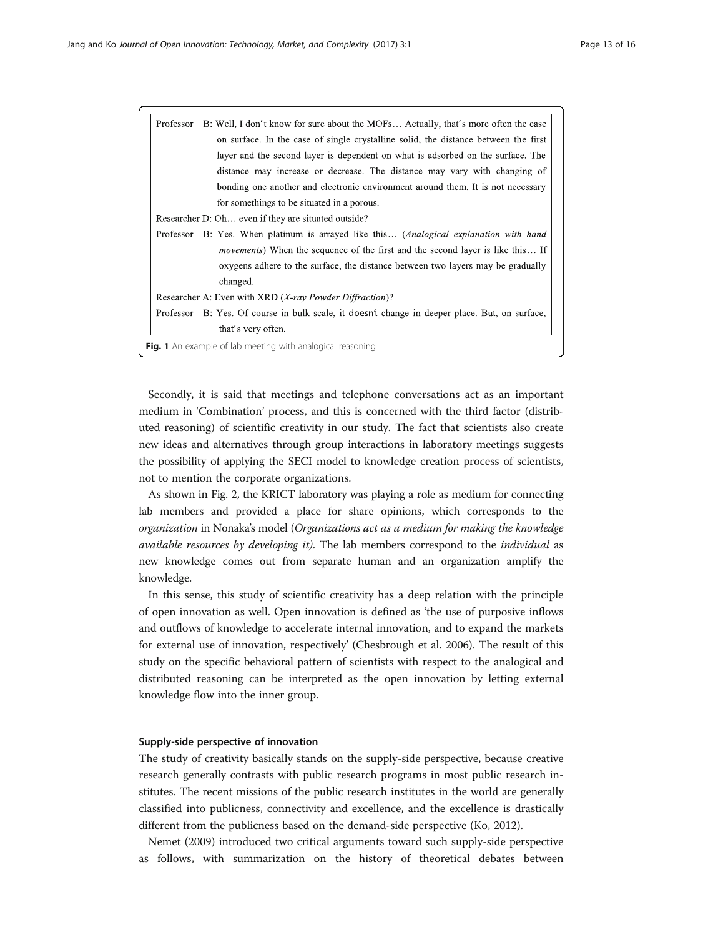<span id="page-12-0"></span>

| Professor | B: Well, I don't know for sure about the MOFs Actually, that's more often the case            |
|-----------|-----------------------------------------------------------------------------------------------|
|           | on surface. In the case of single crystalline solid, the distance between the first           |
|           | layer and the second layer is dependent on what is adsorbed on the surface. The               |
|           | distance may increase or decrease. The distance may vary with changing of                     |
|           | bonding one another and electronic environment around them. It is not necessary               |
|           | for somethings to be situated in a porous.                                                    |
|           | Researcher D: Oh even if they are situated outside?                                           |
|           | Professor B: Yes. When platinum is arrayed like this <i>(Analogical explanation with hand</i> |
|           | <i>movements</i> ) When the sequence of the first and the second layer is like this If        |
|           | oxygens adhere to the surface, the distance between two layers may be gradually               |
|           | changed.                                                                                      |
|           | Researcher A: Even with XRD (X-ray Powder Diffraction)?                                       |
| Professor | B: Yes. Of course in bulk-scale, it doesn't change in deeper place. But, on surface,          |
|           | that's very often.                                                                            |

Secondly, it is said that meetings and telephone conversations act as an important medium in 'Combination' process, and this is concerned with the third factor (distributed reasoning) of scientific creativity in our study. The fact that scientists also create new ideas and alternatives through group interactions in laboratory meetings suggests the possibility of applying the SECI model to knowledge creation process of scientists, not to mention the corporate organizations.

As shown in Fig. [2,](#page-13-0) the KRICT laboratory was playing a role as medium for connecting lab members and provided a place for share opinions, which corresponds to the organization in Nonaka's model (Organizations act as a medium for making the knowledge available resources by developing it). The lab members correspond to the individual as new knowledge comes out from separate human and an organization amplify the knowledge.

In this sense, this study of scientific creativity has a deep relation with the principle of open innovation as well. Open innovation is defined as 'the use of purposive inflows and outflows of knowledge to accelerate internal innovation, and to expand the markets for external use of innovation, respectively' (Chesbrough et al. [2006](#page-14-0)). The result of this study on the specific behavioral pattern of scientists with respect to the analogical and distributed reasoning can be interpreted as the open innovation by letting external knowledge flow into the inner group.

#### Supply-side perspective of innovation

The study of creativity basically stands on the supply-side perspective, because creative research generally contrasts with public research programs in most public research institutes. The recent missions of the public research institutes in the world are generally classified into publicness, connectivity and excellence, and the excellence is drastically different from the publicness based on the demand-side perspective (Ko, [2012](#page-15-0)).

Nemet ([2009](#page-15-0)) introduced two critical arguments toward such supply-side perspective as follows, with summarization on the history of theoretical debates between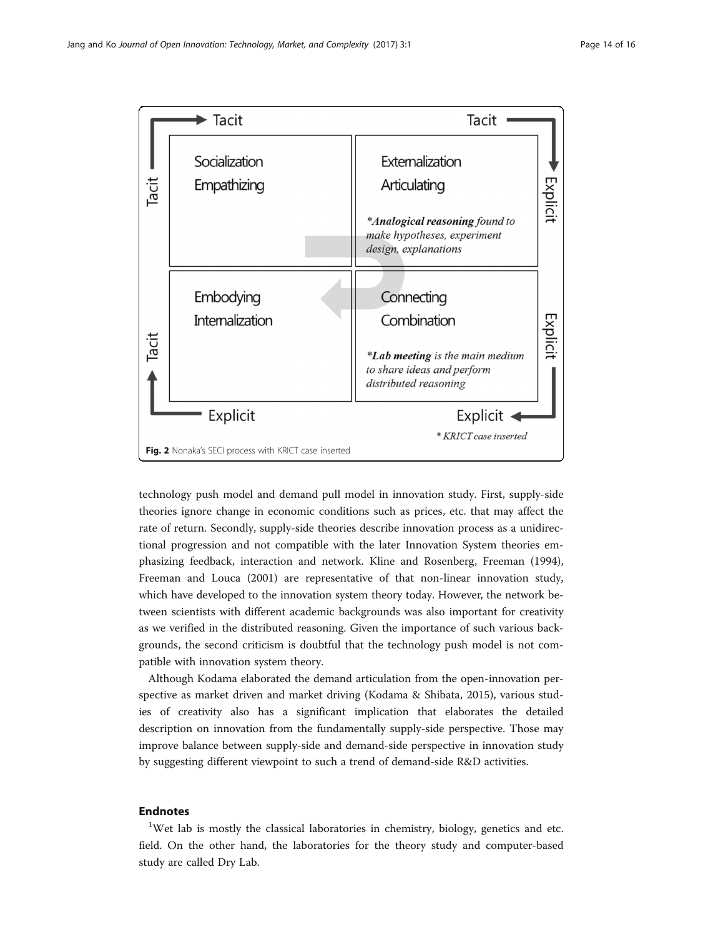<span id="page-13-0"></span>

technology push model and demand pull model in innovation study. First, supply-side theories ignore change in economic conditions such as prices, etc. that may affect the rate of return. Secondly, supply-side theories describe innovation process as a unidirectional progression and not compatible with the later Innovation System theories emphasizing feedback, interaction and network. Kline and Rosenberg, Freeman ([1994](#page-14-0)), Freeman and Louca ([2001](#page-14-0)) are representative of that non-linear innovation study, which have developed to the innovation system theory today. However, the network between scientists with different academic backgrounds was also important for creativity as we verified in the distributed reasoning. Given the importance of such various backgrounds, the second criticism is doubtful that the technology push model is not compatible with innovation system theory.

Although Kodama elaborated the demand articulation from the open-innovation perspective as market driven and market driving (Kodama & Shibata, [2015](#page-15-0)), various studies of creativity also has a significant implication that elaborates the detailed description on innovation from the fundamentally supply-side perspective. Those may improve balance between supply-side and demand-side perspective in innovation study by suggesting different viewpoint to such a trend of demand-side R&D activities.

### Endnotes

<sup>1</sup>Wet lab is mostly the classical laboratories in chemistry, biology, genetics and etc. field. On the other hand, the laboratories for the theory study and computer-based study are called Dry Lab.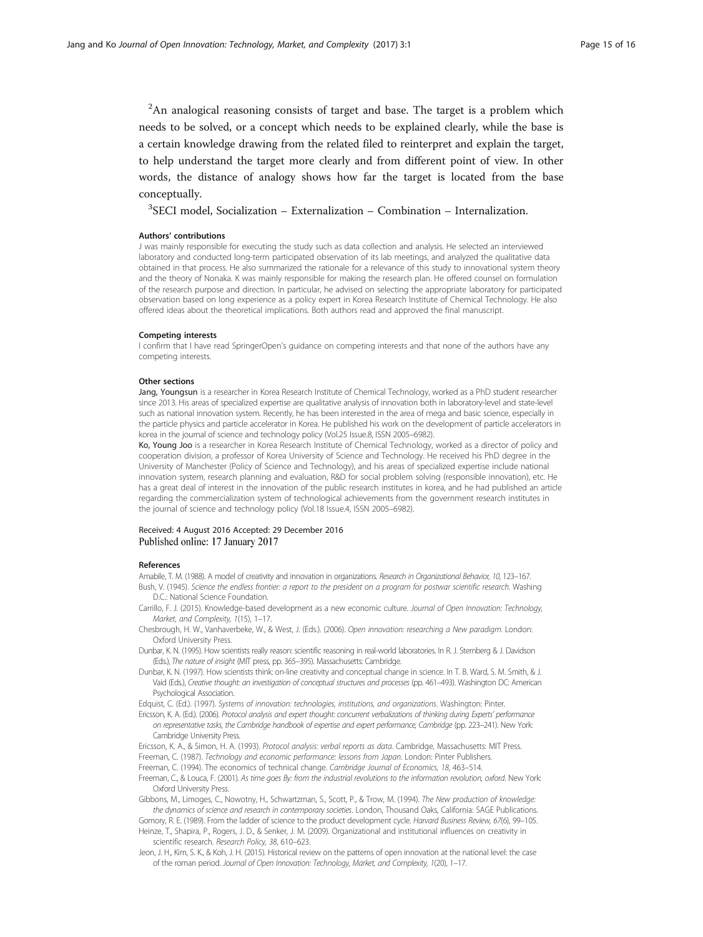<span id="page-14-0"></span> $2$ An analogical reasoning consists of target and base. The target is a problem which needs to be solved, or a concept which needs to be explained clearly, while the base is a certain knowledge drawing from the related filed to reinterpret and explain the target, to help understand the target more clearly and from different point of view. In other words, the distance of analogy shows how far the target is located from the base conceptually.

3 SECI model, Socialization – Externalization – Combination – Internalization.

#### Authors' contributions

J was mainly responsible for executing the study such as data collection and analysis. He selected an interviewed laboratory and conducted long-term participated observation of its lab meetings, and analyzed the qualitative data obtained in that process. He also summarized the rationale for a relevance of this study to innovational system theory and the theory of Nonaka. K was mainly responsible for making the research plan. He offered counsel on formulation of the research purpose and direction. In particular, he advised on selecting the appropriate laboratory for participated observation based on long experience as a policy expert in Korea Research Institute of Chemical Technology. He also offered ideas about the theoretical implications. Both authors read and approved the final manuscript.

#### Competing interests

I confirm that I have read SpringerOpen's guidance on competing interests and that none of the authors have any competing interests.

#### Other sections

Jang, Youngsun is a researcher in Korea Research Institute of Chemical Technology, worked as a PhD student researcher since 2013. His areas of specialized expertise are qualitative analysis of innovation both in laboratory-level and state-level such as national innovation system. Recently, he has been interested in the area of mega and basic science, especially in the particle physics and particle accelerator in Korea. He published his work on the development of particle accelerators in korea in the journal of science and technology policy (Vol.25 Issue.8, ISSN 2005–6982).

Ko, Young Joo is a researcher in Korea Research Institute of Chemical Technology, worked as a director of policy and cooperation division, a professor of Korea University of Science and Technology. He received his PhD degree in the University of Manchester (Policy of Science and Technology), and his areas of specialized expertise include national innovation system, research planning and evaluation, R&D for social problem solving (responsible innovation), etc. He has a great deal of interest in the innovation of the public research institutes in korea, and he had published an article regarding the commercialization system of technological achievements from the government research institutes in the journal of science and technology policy (Vol.18 Issue.4, ISSN 2005–6982).

#### Received: 4 August 2016 Accepted: 29 December 2016 Published online: 17 January 2017

#### References

Amabile, T. M. (1988). A model of creativity and innovation in organizations. Research in Organizational Behavior, 10, 123–167. Bush, V. (1945). Science the endless frontier: a report to the president on a program for postwar scientific research. Washing

- D.C.: National Science Foundation. Carrillo, F. J. (2015). Knowledge-based development as a new economic culture. Journal of Open Innovation: Technology, Market, and Complexity, 1(15), 1–17.
- Chesbrough, H. W., Vanhaverbeke, W., & West, J. (Eds.). (2006). Open innovation: researching a New paradigm. London: Oxford University Press.
- Dunbar, K. N. (1995). How scientists really reason: scientific reasoning in real-world laboratories. In R. J. Sternberg & J. Davidson (Eds.), The nature of insight (MIT press, pp. 365–395). Massachusetts: Cambridge.
- Dunbar, K. N. (1997). How scientists think: on-line creativity and conceptual change in science. In T. B. Ward, S. M. Smith, & J. Vaid (Eds.), Creative thought: an investigation of conceptual structures and processes (pp. 461–493). Washington DC: American Psychological Association.
- Edquist, C. (Ed.). (1997). Systems of innovation: technologies, institutions, and organizations. Washington: Pinter.
- Ericsson, K. A. (Ed.). (2006). Protocol analysis and expert thought: concurrent verbalizations of thinking during Experts' performance on representative tasks, the Cambridge handbook of expertise and expert performance, Cambridge (pp. 223–241). New York: Cambridge University Press.
- Ericsson, K. A., & Simon, H. A. (1993). Protocol analysis: verbal reports as data. Cambridge, Massachusetts: MIT Press. Freeman, C. (1987). Technology and economic performance: lessons from Japan. London: Pinter Publishers.
- Freeman, C. (1994). The economics of technical change. Cambridge Journal of Economics, 18, 463–514.
- Freeman, C., & Louca, F. (2001). As time goes By: from the industrial revolutions to the information revolution, oxford. New York: Oxford University Press.
- Gibbons, M., Limoges, C., Nowotny, H., Schwartzman, S., Scott, P., & Trow, M. (1994). The New production of knowledge: the dynamics of science and research in contemporary societies. London, Thousand Oaks, California: SAGE Publications.

Gomory, R. E. (1989). From the ladder of science to the product development cycle. Harvard Business Review, 67(6), 99–105. Heinze, T., Shapira, P., Rogers, J. D., & Senker, J. M. (2009). Organizational and institutional influences on creativity in scientific research. Research Policy, 38, 610–623.

Jeon, J. H., Kim, S. K., & Koh, J. H. (2015). Historical review on the patterns of open innovation at the national level: the case of the roman period. Journal of Open Innovation: Technology, Market, and Complexity, 1(20), 1–17.